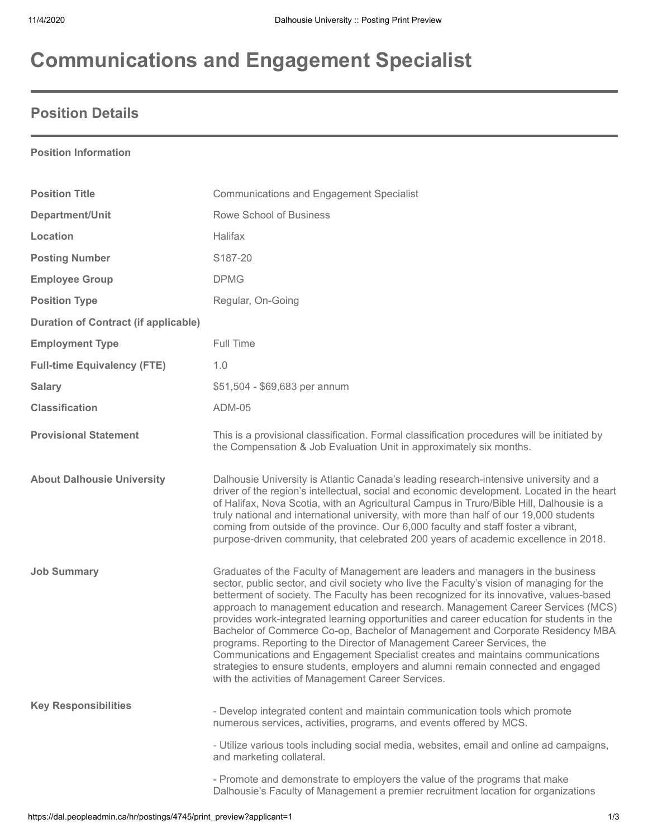# **Communications and Engagement Specialist**

### **Position Details**

#### **Position Information**

| <b>Position Title</b>                       | <b>Communications and Engagement Specialist</b>                                                                                                                                                                                                                                                                                                                                                                                                                                                                                                                                                                                                                                                                                                                                                                                                |
|---------------------------------------------|------------------------------------------------------------------------------------------------------------------------------------------------------------------------------------------------------------------------------------------------------------------------------------------------------------------------------------------------------------------------------------------------------------------------------------------------------------------------------------------------------------------------------------------------------------------------------------------------------------------------------------------------------------------------------------------------------------------------------------------------------------------------------------------------------------------------------------------------|
| Department/Unit                             | Rowe School of Business                                                                                                                                                                                                                                                                                                                                                                                                                                                                                                                                                                                                                                                                                                                                                                                                                        |
| Location                                    | <b>Halifax</b>                                                                                                                                                                                                                                                                                                                                                                                                                                                                                                                                                                                                                                                                                                                                                                                                                                 |
| <b>Posting Number</b>                       | S187-20                                                                                                                                                                                                                                                                                                                                                                                                                                                                                                                                                                                                                                                                                                                                                                                                                                        |
| <b>Employee Group</b>                       | <b>DPMG</b>                                                                                                                                                                                                                                                                                                                                                                                                                                                                                                                                                                                                                                                                                                                                                                                                                                    |
| <b>Position Type</b>                        | Regular, On-Going                                                                                                                                                                                                                                                                                                                                                                                                                                                                                                                                                                                                                                                                                                                                                                                                                              |
| <b>Duration of Contract (if applicable)</b> |                                                                                                                                                                                                                                                                                                                                                                                                                                                                                                                                                                                                                                                                                                                                                                                                                                                |
| <b>Employment Type</b>                      | Full Time                                                                                                                                                                                                                                                                                                                                                                                                                                                                                                                                                                                                                                                                                                                                                                                                                                      |
| <b>Full-time Equivalency (FTE)</b>          | 1.0                                                                                                                                                                                                                                                                                                                                                                                                                                                                                                                                                                                                                                                                                                                                                                                                                                            |
| <b>Salary</b>                               | \$51,504 - \$69,683 per annum                                                                                                                                                                                                                                                                                                                                                                                                                                                                                                                                                                                                                                                                                                                                                                                                                  |
| <b>Classification</b>                       | <b>ADM-05</b>                                                                                                                                                                                                                                                                                                                                                                                                                                                                                                                                                                                                                                                                                                                                                                                                                                  |
| <b>Provisional Statement</b>                | This is a provisional classification. Formal classification procedures will be initiated by<br>the Compensation & Job Evaluation Unit in approximately six months.                                                                                                                                                                                                                                                                                                                                                                                                                                                                                                                                                                                                                                                                             |
| <b>About Dalhousie University</b>           | Dalhousie University is Atlantic Canada's leading research-intensive university and a<br>driver of the region's intellectual, social and economic development. Located in the heart<br>of Halifax, Nova Scotia, with an Agricultural Campus in Truro/Bible Hill, Dalhousie is a<br>truly national and international university, with more than half of our 19,000 students<br>coming from outside of the province. Our 6,000 faculty and staff foster a vibrant,<br>purpose-driven community, that celebrated 200 years of academic excellence in 2018.                                                                                                                                                                                                                                                                                        |
| <b>Job Summary</b>                          | Graduates of the Faculty of Management are leaders and managers in the business<br>sector, public sector, and civil society who live the Faculty's vision of managing for the<br>betterment of society. The Faculty has been recognized for its innovative, values-based<br>approach to management education and research. Management Career Services (MCS)<br>provides work-integrated learning opportunities and career education for students in the<br>Bachelor of Commerce Co-op, Bachelor of Management and Corporate Residency MBA<br>programs. Reporting to the Director of Management Career Services, the<br>Communications and Engagement Specialist creates and maintains communications<br>strategies to ensure students, employers and alumni remain connected and engaged<br>with the activities of Management Career Services. |
| <b>Key Responsibilities</b>                 | - Develop integrated content and maintain communication tools which promote<br>numerous services, activities, programs, and events offered by MCS.                                                                                                                                                                                                                                                                                                                                                                                                                                                                                                                                                                                                                                                                                             |
|                                             | - Utilize various tools including social media, websites, email and online ad campaigns,<br>and marketing collateral.                                                                                                                                                                                                                                                                                                                                                                                                                                                                                                                                                                                                                                                                                                                          |
|                                             | - Promote and demonstrate to employers the value of the programs that make<br>Dalhousie's Faculty of Management a premier recruitment location for organizations                                                                                                                                                                                                                                                                                                                                                                                                                                                                                                                                                                                                                                                                               |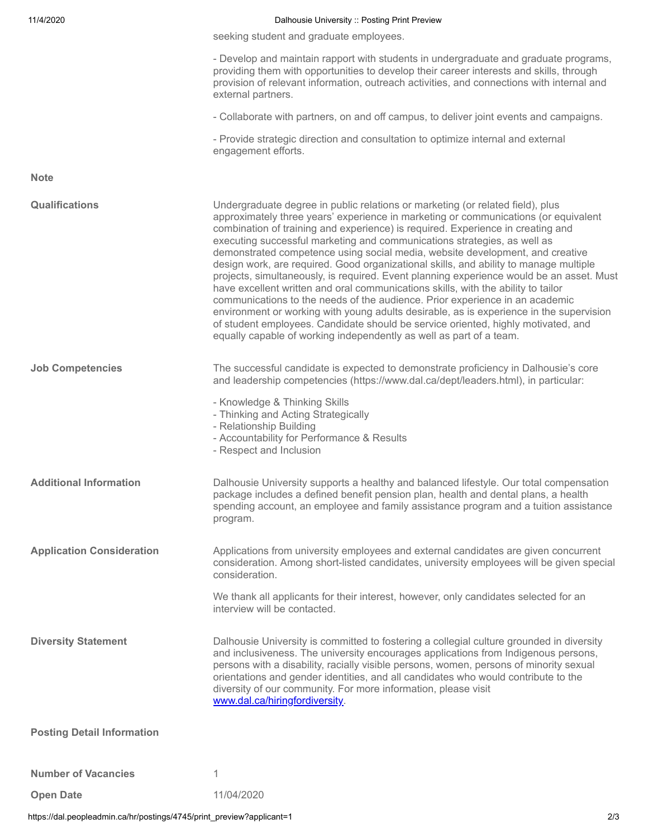| 11/4/2020                         | Dalhousie University :: Posting Print Preview                                                                                                                                                                                                                                                                                                                                                                                                                                                                                                                                                                                                                                                                                                                                                                                                                                                                                                                                                                                          |
|-----------------------------------|----------------------------------------------------------------------------------------------------------------------------------------------------------------------------------------------------------------------------------------------------------------------------------------------------------------------------------------------------------------------------------------------------------------------------------------------------------------------------------------------------------------------------------------------------------------------------------------------------------------------------------------------------------------------------------------------------------------------------------------------------------------------------------------------------------------------------------------------------------------------------------------------------------------------------------------------------------------------------------------------------------------------------------------|
|                                   | seeking student and graduate employees.                                                                                                                                                                                                                                                                                                                                                                                                                                                                                                                                                                                                                                                                                                                                                                                                                                                                                                                                                                                                |
|                                   | - Develop and maintain rapport with students in undergraduate and graduate programs,<br>providing them with opportunities to develop their career interests and skills, through<br>provision of relevant information, outreach activities, and connections with internal and<br>external partners.                                                                                                                                                                                                                                                                                                                                                                                                                                                                                                                                                                                                                                                                                                                                     |
|                                   | - Collaborate with partners, on and off campus, to deliver joint events and campaigns.                                                                                                                                                                                                                                                                                                                                                                                                                                                                                                                                                                                                                                                                                                                                                                                                                                                                                                                                                 |
|                                   | - Provide strategic direction and consultation to optimize internal and external<br>engagement efforts.                                                                                                                                                                                                                                                                                                                                                                                                                                                                                                                                                                                                                                                                                                                                                                                                                                                                                                                                |
| <b>Note</b>                       |                                                                                                                                                                                                                                                                                                                                                                                                                                                                                                                                                                                                                                                                                                                                                                                                                                                                                                                                                                                                                                        |
| <b>Qualifications</b>             | Undergraduate degree in public relations or marketing (or related field), plus<br>approximately three years' experience in marketing or communications (or equivalent<br>combination of training and experience) is required. Experience in creating and<br>executing successful marketing and communications strategies, as well as<br>demonstrated competence using social media, website development, and creative<br>design work, are required. Good organizational skills, and ability to manage multiple<br>projects, simultaneously, is required. Event planning experience would be an asset. Must<br>have excellent written and oral communications skills, with the ability to tailor<br>communications to the needs of the audience. Prior experience in an academic<br>environment or working with young adults desirable, as is experience in the supervision<br>of student employees. Candidate should be service oriented, highly motivated, and<br>equally capable of working independently as well as part of a team. |
| <b>Job Competencies</b>           | The successful candidate is expected to demonstrate proficiency in Dalhousie's core<br>and leadership competencies (https://www.dal.ca/dept/leaders.html), in particular:<br>- Knowledge & Thinking Skills<br>- Thinking and Acting Strategically<br>- Relationship Building<br>- Accountability for Performance & Results<br>- Respect and Inclusion                                                                                                                                                                                                                                                                                                                                                                                                                                                                                                                                                                                                                                                                                  |
| <b>Additional Information</b>     | Dalhousie University supports a healthy and balanced lifestyle. Our total compensation<br>package includes a defined benefit pension plan, health and dental plans, a health<br>spending account, an employee and family assistance program and a tuition assistance<br>program.                                                                                                                                                                                                                                                                                                                                                                                                                                                                                                                                                                                                                                                                                                                                                       |
| <b>Application Consideration</b>  | Applications from university employees and external candidates are given concurrent<br>consideration. Among short-listed candidates, university employees will be given special<br>consideration.<br>We thank all applicants for their interest, however, only candidates selected for an<br>interview will be contacted.                                                                                                                                                                                                                                                                                                                                                                                                                                                                                                                                                                                                                                                                                                              |
| <b>Diversity Statement</b>        | Dalhousie University is committed to fostering a collegial culture grounded in diversity<br>and inclusiveness. The university encourages applications from Indigenous persons,<br>persons with a disability, racially visible persons, women, persons of minority sexual<br>orientations and gender identities, and all candidates who would contribute to the<br>diversity of our community. For more information, please visit<br>www.dal.ca/hiringfordiversity.                                                                                                                                                                                                                                                                                                                                                                                                                                                                                                                                                                     |
| <b>Posting Detail Information</b> |                                                                                                                                                                                                                                                                                                                                                                                                                                                                                                                                                                                                                                                                                                                                                                                                                                                                                                                                                                                                                                        |
| <b>Number of Vacancies</b>        | 1                                                                                                                                                                                                                                                                                                                                                                                                                                                                                                                                                                                                                                                                                                                                                                                                                                                                                                                                                                                                                                      |
| <b>Open Date</b>                  | 11/04/2020                                                                                                                                                                                                                                                                                                                                                                                                                                                                                                                                                                                                                                                                                                                                                                                                                                                                                                                                                                                                                             |